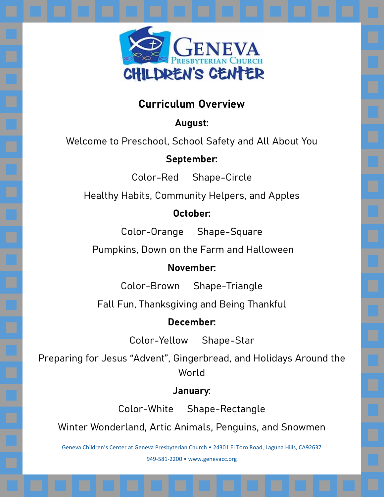

# **Curriculum Overview**

**August:**

Welcome to Preschool, School Safety and All About You

#### **September:**

Color-Red Shape-Circle

Healthy Habits, Community Helpers, and Apples

## **October:**

Color-Orange Shape-Square

Pumpkins, Down on the Farm and Halloween

## **November:**

Color-Brown Shape-Triangle

Fall Fun, Thanksgiving and Being Thankful

## **December:**

Color-Yellow Shape-Star

Preparing for Jesus "Advent", Gingerbread, and Holidays Around the World

## **January:**

Color-White Shape-Rectangle

Winter Wonderland, Artic Animals, Penguins, and Snowmen

Geneva Children's Center at Geneva Presbyterian Church • 24301 El Toro Road, Laguna Hills, CA92637 949-581-2200 • www.genevacc.org